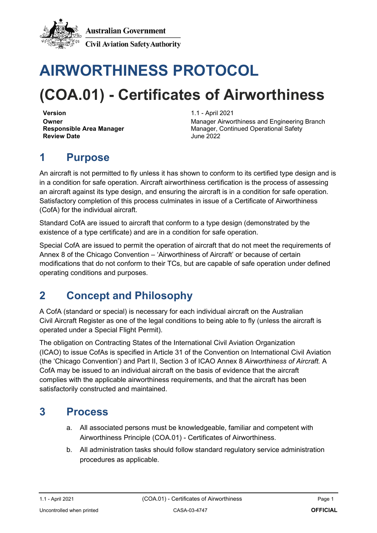

**Australian Government Civil Aviation Safety Authority** 

# **AIRWORTHINESS PROTOCOL**

## **(COA.01) - Certificates of Airworthiness**

**Version** 1.1 - April 2021 **Review Date** 

**Owner** Manager Airworthiness and Engineering Branch<br> **Responsible Area Manager** Manager, Continued Operational Safety **Manager, Continued Operational Safety<br>June 2022** 

## **1 Purpose**

An aircraft is not permitted to fly unless it has shown to conform to its certified type design and is in a condition for safe operation. Aircraft airworthiness certification is the process of assessing an aircraft against its type design, and ensuring the aircraft is in a condition for safe operation. Satisfactory completion of this process culminates in issue of a Certificate of Airworthiness (CofA) for the individual aircraft.

Standard CofA are issued to aircraft that conform to a type design (demonstrated by the existence of a type certificate) and are in a condition for safe operation.

Special CofA are issued to permit the operation of aircraft that do not meet the requirements of Annex 8 of the Chicago Convention – 'Airworthiness of Aircraft' or because of certain modifications that do not conform to their TCs, but are capable of safe operation under defined operating conditions and purposes.

### **2 Concept and Philosophy**

A CofA (standard or special) is necessary for each individual aircraft on the Australian Civil Aircraft Register as one of the legal conditions to being able to fly (unless the aircraft is operated under a Special Flight Permit).

The obligation on Contracting States of the International Civil Aviation Organization (ICAO) to issue CofAs is specified in Article 31 of the Convention on International Civil Aviation (the 'Chicago Convention') and Part II, Section 3 of ICAO Annex 8 *Airworthiness of Aircraft.* A CofA may be issued to an individual aircraft on the basis of evidence that the aircraft complies with the applicable airworthiness requirements, and that the aircraft has been satisfactorily constructed and maintained.

#### **3 Process**

- a. All associated persons must be knowledgeable, familiar and competent with Airworthiness Principle (COA.01) - Certificates of Airworthiness.
- b. All administration tasks should follow standard regulatory service administration procedures as applicable.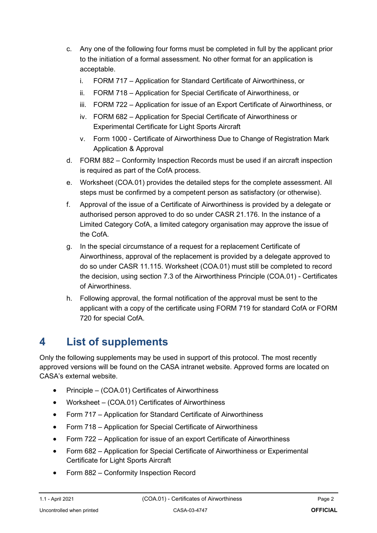- c. Any one of the following four forms must be completed in full by the applicant prior to the initiation of a formal assessment. No other format for an application is acceptable.
	- i. FORM 717 Application for Standard Certificate of Airworthiness, or
	- ii. FORM 718 Application for Special Certificate of Airworthiness, or
	- iii. FORM 722 Application for issue of an Export Certificate of Airworthiness, or
	- iv. FORM 682 Application for Special Certificate of Airworthiness or Experimental Certificate for Light Sports Aircraft
	- v. Form 1000 Certificate of Airworthiness Due to Change of Registration Mark Application & Approval
- d. FORM 882 Conformity Inspection Records must be used if an aircraft inspection is required as part of the CofA process.
- e. Worksheet (COA.01) provides the detailed steps for the complete assessment. All steps must be confirmed by a competent person as satisfactory (or otherwise).
- f. Approval of the issue of a Certificate of Airworthiness is provided by a delegate or authorised person approved to do so under CASR 21.176. In the instance of a Limited Category CofA, a limited category organisation may approve the issue of the CofA.
- g. In the special circumstance of a request for a replacement Certificate of Airworthiness, approval of the replacement is provided by a delegate approved to do so under CASR 11.115. Worksheet (COA.01) must still be completed to record the decision, using section 7.3 of the Airworthiness Principle (COA.01) - Certificates of Airworthiness.
- h. Following approval, the formal notification of the approval must be sent to the applicant with a copy of the certificate using FORM 719 for standard CofA or FORM 720 for special CofA.

### **4 List of supplements**

Only the following supplements may be used in support of this protocol. The most recently approved versions will be found on the CASA intranet website. Approved forms are located on CASA's external website.

- Principle (COA.01) Certificates of Airworthiness
- Worksheet (COA.01) Certificates of Airworthiness
- Form 717 Application for Standard Certificate of Airworthiness
- Form 718 Application for Special Certificate of Airworthiness
- Form 722 Application for issue of an export Certificate of Airworthiness
- Form 682 Application for Special Certificate of Airworthiness or Experimental Certificate for Light Sports Aircraft
- Form 882 Conformity Inspection Record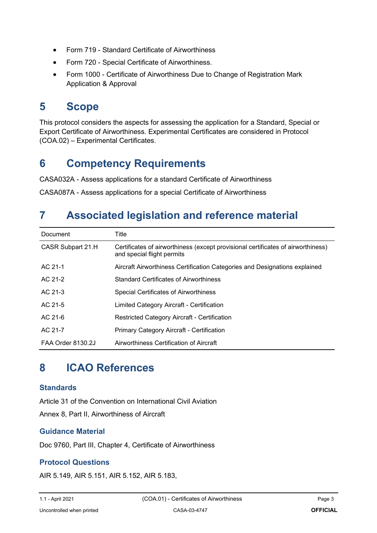- Form 719 Standard Certificate of Airworthiness
- Form 720 Special Certificate of Airworthiness.
- Form 1000 Certificate of Airworthiness Due to Change of Registration Mark Application & Approval

#### **5 Scope**

This protocol considers the aspects for assessing the application for a Standard, Special or Export Certificate of Airworthiness. Experimental Certificates are considered in Protocol (COA.02) – Experimental Certificates.

#### **6 Competency Requirements**

CASA032A - Assess applications for a standard Certificate of Airworthiness

CASA087A - Assess applications for a special Certificate of Airworthiness

#### **7 Associated legislation and reference material**

| Document                 | Title                                                                                                          |  |
|--------------------------|----------------------------------------------------------------------------------------------------------------|--|
| CASR Subpart 21.H        | Certificates of airworthiness (except provisional certificates of airworthiness)<br>and special flight permits |  |
| AC 21-1                  | Aircraft Airworthiness Certification Categories and Designations explained                                     |  |
| AC 21-2                  | <b>Standard Certificates of Airworthiness</b>                                                                  |  |
| AC 21-3                  | <b>Special Certificates of Airworthiness</b>                                                                   |  |
| AC 21-5                  | Limited Category Aircraft - Certification                                                                      |  |
| $AC21-6$                 | <b>Restricted Category Aircraft - Certification</b>                                                            |  |
| AC 21-7                  | Primary Category Aircraft - Certification                                                                      |  |
| <b>FAA Order 8130.2J</b> | Airworthiness Certification of Aircraft                                                                        |  |

#### **8 ICAO References**

#### **Standards**

Article 31 of the Convention on International Civil Aviation Annex 8, Part II, Airworthiness of Aircraft

#### **Guidance Material**

Doc 9760, Part III, Chapter 4, Certificate of Airworthiness

#### **Protocol Questions**

AIR 5.149, AIR 5.151, AIR 5.152, AIR 5.183,